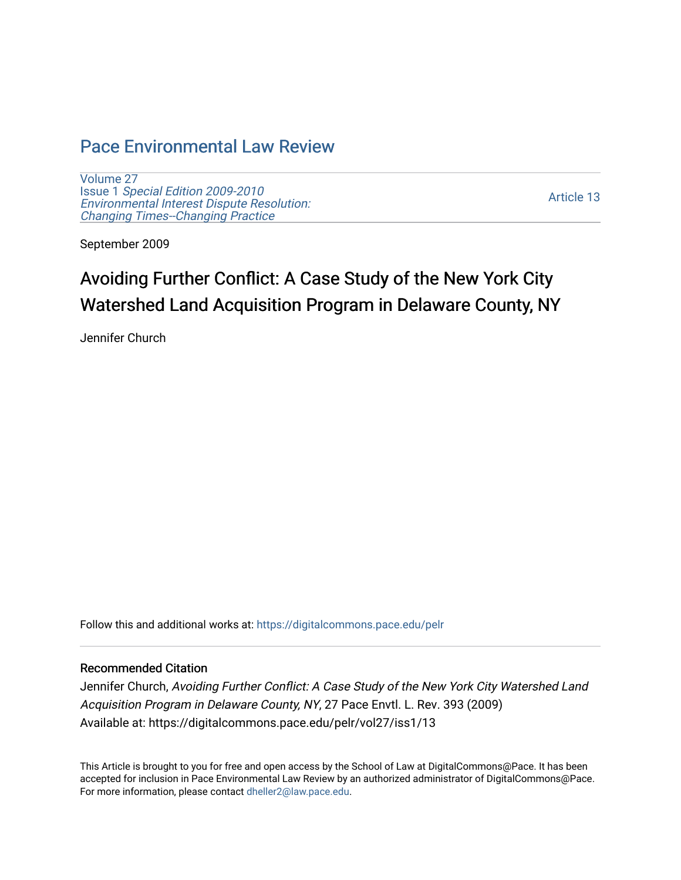# [Pace Environmental Law Review](https://digitalcommons.pace.edu/pelr)

[Volume 27](https://digitalcommons.pace.edu/pelr/vol27) Issue 1 [Special Edition 2009-2010](https://digitalcommons.pace.edu/pelr/vol27/iss1)  [Environmental Interest Dispute Resolution:](https://digitalcommons.pace.edu/pelr/vol27/iss1) [Changing Times--Changing Practice](https://digitalcommons.pace.edu/pelr/vol27/iss1) 

[Article 13](https://digitalcommons.pace.edu/pelr/vol27/iss1/13) 

September 2009

# Avoiding Further Conflict: A Case Study of the New York City Watershed Land Acquisition Program in Delaware County, NY

Jennifer Church

Follow this and additional works at: [https://digitalcommons.pace.edu/pelr](https://digitalcommons.pace.edu/pelr?utm_source=digitalcommons.pace.edu%2Fpelr%2Fvol27%2Fiss1%2F13&utm_medium=PDF&utm_campaign=PDFCoverPages)

# Recommended Citation

Jennifer Church, Avoiding Further Conflict: A Case Study of the New York City Watershed Land Acquisition Program in Delaware County, NY, 27 Pace Envtl. L. Rev. 393 (2009) Available at: https://digitalcommons.pace.edu/pelr/vol27/iss1/13

This Article is brought to you for free and open access by the School of Law at DigitalCommons@Pace. It has been accepted for inclusion in Pace Environmental Law Review by an authorized administrator of DigitalCommons@Pace. For more information, please contact [dheller2@law.pace.edu](mailto:dheller2@law.pace.edu).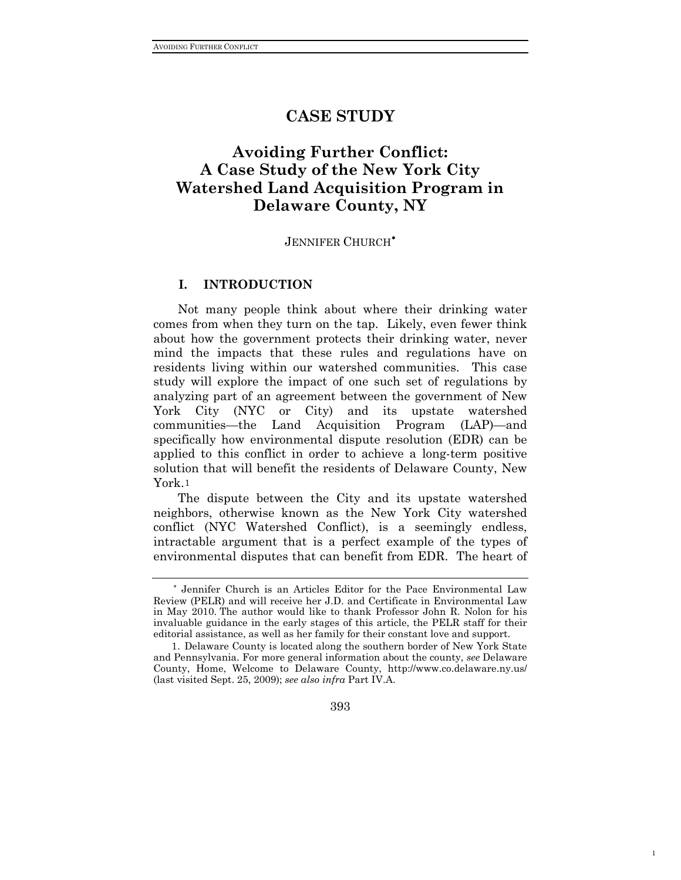# **CASE STUDY**

# **Avoiding Further Conflict: A Case Study of the New York City Watershed Land Acquisition Program in Delaware County, NY**

#### JENNIFER CHURCH<sup>\*</sup>

## **I. INTRODUCTION**

Not many people think about where their drinking water comes from when they turn on the tap. Likely, even fewer think about how the government protects their drinking water, never mind the impacts that these rules and regulations have on residents living within our watershed communities. This case study will explore the impact of one such set of regulations by analyzing part of an agreement between the government of New York City (NYC or City) and its upstate watershed communities—the Land Acquisition Program (LAP)—and specifically how environmental dispute resolution (EDR) can be applied to this conflict in order to achieve a long-term positive solution that will benefit the residents of Delaware County, New York.[1](#page-1-1)

The dispute between the City and its upstate watershed neighbors, otherwise known as the New York City watershed conflict (NYC Watershed Conflict), is a seemingly endless, intractable argument that is a perfect example of the types of environmental disputes that can benefit from EDR. The heart of

393

1

<span id="page-1-0"></span><sup>∗</sup> Jennifer Church is an Articles Editor for the Pace Environmental Law Review (PELR) and will receive her J.D. and Certificate in Environmental Law in May 2010. The author would like to thank Professor John R. Nolon for his invaluable guidance in the early stages of this article, the PELR staff for their editorial assistance, as well as her family for their constant love and support.

<span id="page-1-1"></span> <sup>1.</sup> Delaware County is located along the southern border of New York State and Pennsylvania. For more general information about the county, *see* Delaware County, Home, Welcome to Delaware County, http://www.co.delaware.ny.us/ (last visited Sept. 25, 2009); *see also infra* Part IV.A.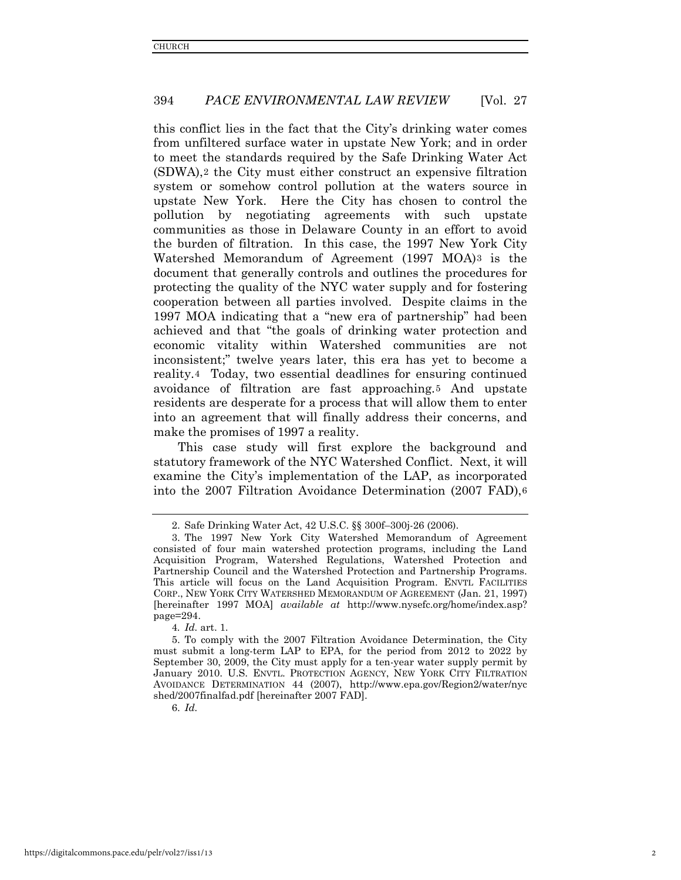this conflict lies in the fact that the City's drinking water comes from unfiltered surface water in upstate New York; and in order to meet the standards required by the Safe Drinking Water Act (SDWA),[2](#page-2-0) the City must either construct an expensive filtration system or somehow control pollution at the waters source in upstate New York. Here the City has chosen to control the pollution by negotiating agreements with such upstate communities as those in Delaware County in an effort to avoid the burden of filtration. In this case, the 1997 New York City Watershed Memorandum of Agreement (1997 MOA)[3](#page-2-1) is the document that generally controls and outlines the procedures for protecting the quality of the NYC water supply and for fostering cooperation between all parties involved. Despite claims in the 1997 MOA indicating that a "new era of partnership" had been achieved and that "the goals of drinking water protection and economic vitality within Watershed communities are not inconsistent;" twelve years later, this era has yet to become a reality.[4](#page-2-2) Today, two essential deadlines for ensuring continued avoidance of filtration are fast approaching.[5](#page-2-3) And upstate residents are desperate for a process that will allow them to enter into an agreement that will finally address their concerns, and make the promises of 1997 a reality.

This case study will first explore the background and statutory framework of the NYC Watershed Conflict. Next, it will examine the City's implementation of the LAP, as incorporated into the 2007 Filtration Avoidance Determination (2007 FAD), [6](#page-2-4)

<span id="page-2-4"></span>6. *Id.*

 <sup>2.</sup> Safe Drinking Water Act, 42 U.S.C. §§ 300f–300j-26 (2006).

<span id="page-2-1"></span><span id="page-2-0"></span> <sup>3.</sup> The 1997 New York City Watershed Memorandum of Agreement consisted of four main watershed protection programs, including the Land Acquisition Program, Watershed Regulations, Watershed Protection and Partnership Council and the Watershed Protection and Partnership Programs. This article will focus on the Land Acquisition Program. ENVTL FACILITIES CORP., NEW YORK CITY WATERSHED MEMORANDUM OF AGREEMENT (Jan. 21, 1997) [hereinafter 1997 MOA] *available at* http://www.nysefc.org/home/index.asp? page=294.

<sup>4</sup>*. Id.* art. 1.

<span id="page-2-3"></span><span id="page-2-2"></span> <sup>5.</sup> To comply with the 2007 Filtration Avoidance Determination, the City must submit a long-term LAP to EPA, for the period from 2012 to 2022 by September 30, 2009, the City must apply for a ten-year water supply permit by January 2010. U.S. ENVTL. PROTECTION AGENCY, NEW YORK CITY FILTRATION AVOIDANCE DETERMINATION 44 (2007), http://www.epa.gov/Region2/water/nyc shed/2007finalfad.pdf [hereinafter 2007 FAD].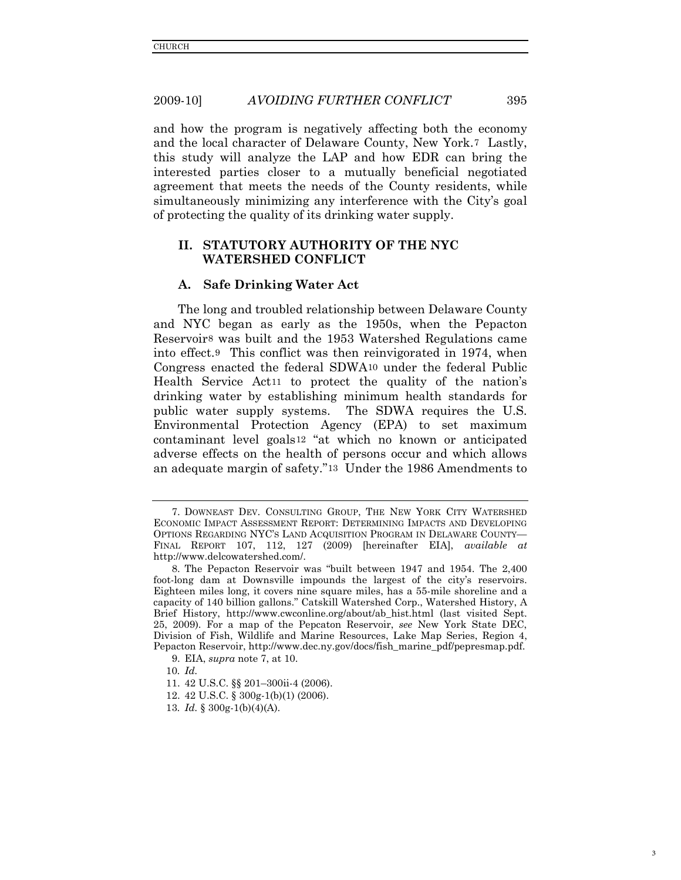and how the program is negatively affecting both the economy and the local character of Delaware County, New York.[7](#page-3-0) Lastly, this study will analyze the LAP and how EDR can bring the interested parties closer to a mutually beneficial negotiated agreement that meets the needs of the County residents, while simultaneously minimizing any interference with the City's goal of protecting the quality of its drinking water supply.

# **II. STATUTORY AUTHORITY OF THE NYC WATERSHED CONFLICT**

#### **A. Safe Drinking Water Act**

The long and troubled relationship between Delaware County and NYC began as early as the 1950s, when the Pepacton Reservoir[8](#page-3-1) was built and the 1953 Watershed Regulations came into effect[.9](#page-3-2) This conflict was then reinvigorated in 1974, when Congress enacted the federal SDWA[10](#page-3-3) under the federal Public Health Service Act[11](#page-3-4) to protect the quality of the nation's drinking water by establishing minimum health standards for public water supply systems. The SDWA requires the U.S. Environmental Protection Agency (EPA) to set maximum contaminant level goals[12](#page-3-5) "at which no known or anticipated adverse effects on the health of persons occur and which allows an adequate margin of safety."[13](#page-3-6) Under the 1986 Amendments to

3

<span id="page-3-0"></span> <sup>7.</sup> DOWNEAST DEV. CONSULTING GROUP, THE NEW YORK CITY WATERSHED ECONOMIC IMPACT ASSESSMENT REPORT: DETERMINING IMPACTS AND DEVELOPING OPTIONS REGARDING NYC'S LAND ACQUISITION PROGRAM IN DELAWARE COUNTY— FINAL REPORT 107, 112, 127 (2009) [hereinafter EIA], *available at*  http://www.delcowatershed.com/.

<span id="page-3-1"></span> <sup>8.</sup> The Pepacton Reservoir was "built between 1947 and 1954. The 2,400 foot-long dam at Downsville impounds the largest of the city's reservoirs. Eighteen miles long, it covers nine square miles, has a 55-mile shoreline and a capacity of 140 billion gallons." Catskill Watershed Corp., Watershed History, A Brief History, http://www.cwconline.org/about/ab\_hist.html (last visited Sept. 25, 2009). For a map of the Pepcaton Reservoir, *see* New York State DEC, Division of Fish, Wildlife and Marine Resources, Lake Map Series, Region 4, Pepacton Reservoir, http://www.dec.ny.gov/docs/fish\_marine\_pdf/pepresmap.pdf.

 <sup>9.</sup> EIA, *supra* note 7, at 10.

<span id="page-3-3"></span><span id="page-3-2"></span><sup>10</sup>*. Id.*

<span id="page-3-4"></span><sup>11. 42</sup> U.S.C. §§ 201–300ii-4 (2006).

<span id="page-3-5"></span><sup>12. 42</sup> U.S.C. § 300g-1(b)(1) (2006).

<span id="page-3-6"></span><sup>13</sup>*. Id.* § 300g-1(b)(4)(A).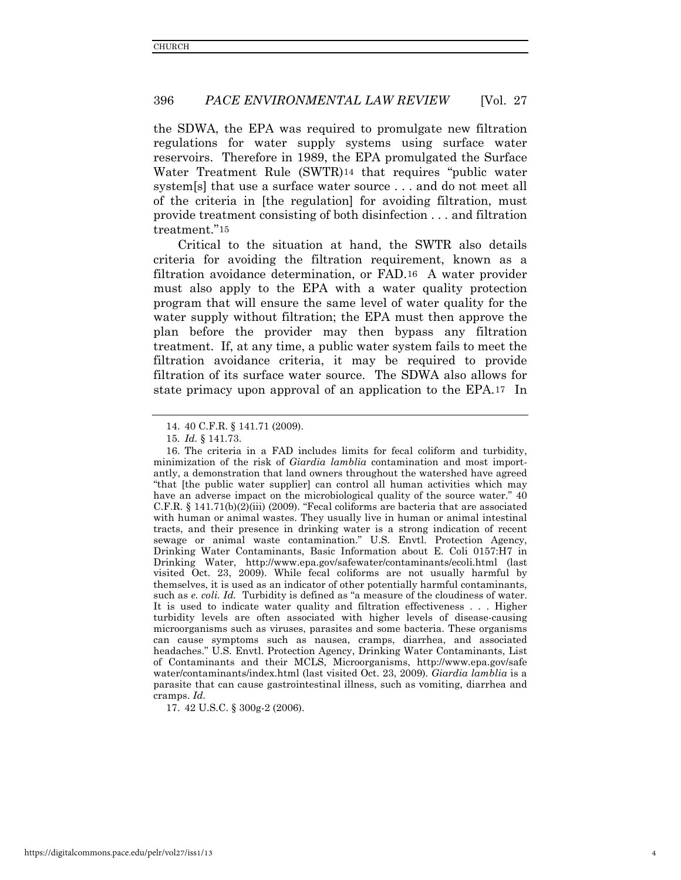the SDWA, the EPA was required to promulgate new filtration regulations for water supply systems using surface water reservoirs. Therefore in 1989, the EPA promulgated the Surface Water Treatment Rule (SWTR)[14](#page-4-0) that requires "public water system[s] that use a surface water source . . . and do not meet all of the criteria in [the regulation] for avoiding filtration, must provide treatment consisting of both disinfection . . . and filtration treatment."[15](#page-4-1)

Critical to the situation at hand, the SWTR also details criteria for avoiding the filtration requirement, known as a filtration avoidance determination, or FAD.[16](#page-4-2) A water provider must also apply to the EPA with a water quality protection program that will ensure the same level of water quality for the water supply without filtration; the EPA must then approve the plan before the provider may then bypass any filtration treatment. If, at any time, a public water system fails to meet the filtration avoidance criteria, it may be required to provide filtration of its surface water source. The SDWA also allows for state primacy upon approval of an application to the EPA.[17](#page-4-3) In

<span id="page-4-3"></span>17. 42 U.S.C. § 300g-2 (2006).

<sup>14. 40</sup> C.F.R. § 141.71 (2009).

<sup>15</sup>*. Id.* § 141.73.

<span id="page-4-2"></span><span id="page-4-1"></span><span id="page-4-0"></span><sup>16.</sup> The criteria in a FAD includes limits for fecal coliform and turbidity, minimization of the risk of *Giardia lamblia* contamination and most importantly, a demonstration that land owners throughout the watershed have agreed "that [the public water supplier] can control all human activities which may have an adverse impact on the microbiological quality of the source water." 40 C.F.R. § 141.71(b)(2)(iii) (2009). "Fecal coliforms are bacteria that are associated with human or animal wastes. They usually live in human or animal intestinal tracts, and their presence in drinking water is a strong indication of recent sewage or animal waste contamination." U.S. Envtl. Protection Agency, Drinking Water Contaminants, Basic Information about E. Coli 0157:H7 in Drinking Water, http://www.epa.gov/safewater/contaminants/ecoli.html (last visited Oct. 23, 2009). While fecal coliforms are not usually harmful by themselves, it is used as an indicator of other potentially harmful contaminants, such as *e. coli. Id.* Turbidity is defined as "a measure of the cloudiness of water. It is used to indicate water quality and filtration effectiveness . . . Higher turbidity levels are often associated with higher levels of disease-causing microorganisms such as viruses, parasites and some bacteria. These organisms can cause symptoms such as nausea, cramps, diarrhea, and associated headaches." U.S. Envtl. Protection Agency, Drinking Water Contaminants, List of Contaminants and their MCLS, Microorganisms, http://www.epa.gov/safe water/contaminants/index.html (last visited Oct. 23, 2009)*. Giardia lamblia* is a parasite that can cause gastrointestinal illness, such as vomiting, diarrhea and cramps. *Id.*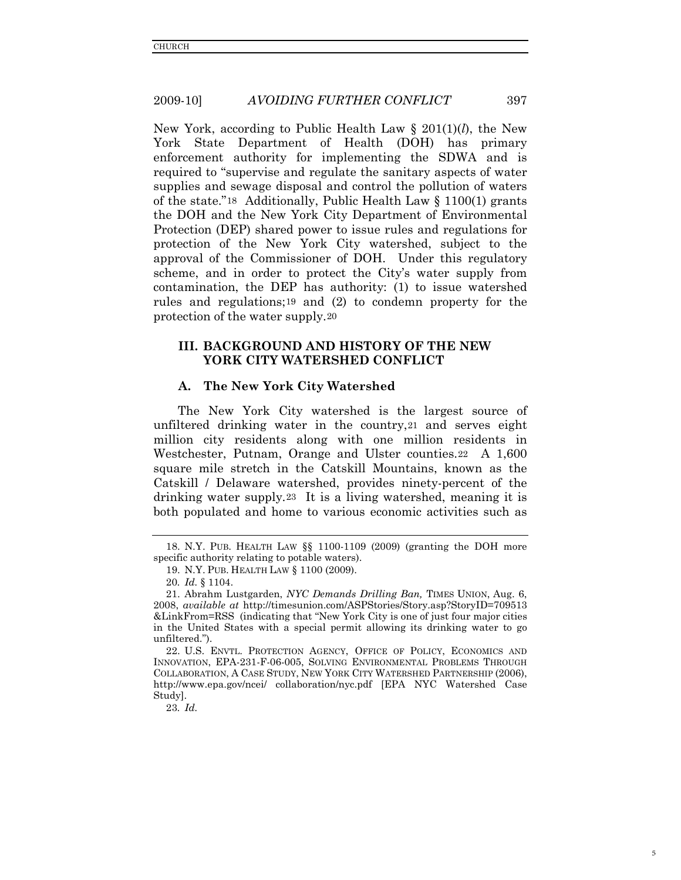New York, according to Public Health Law § 201(1)(*l*), the New York State Department of Health (DOH) has primary enforcement authority for implementing the SDWA and is required to "supervise and regulate the sanitary aspects of water supplies and sewage disposal and control the pollution of waters of the state."[18](#page-5-0) Additionally, Public Health Law § 1100(1) grants the DOH and the New York City Department of Environmental Protection (DEP) shared power to issue rules and regulations for protection of the New York City watershed, subject to the approval of the Commissioner of DOH. Under this regulatory scheme, and in order to protect the City's water supply from contamination, the DEP has authority: (1) to issue watershed rules and regulations;[19](#page-5-1) and (2) to condemn property for the protection of the water supply.[20](#page-5-2)

# **III. BACKGROUND AND HISTORY OF THE NEW YORK CITY WATERSHED CONFLICT**

## **A. The New York City Watershed**

The New York City watershed is the largest source of unfiltered drinking water in the country,[21](#page-5-3) and serves eight million city residents along with one million residents in Westchester, Putnam, Orange and Ulster counties.[22](#page-5-4) A 1,600 square mile stretch in the Catskill Mountains, known as the Catskill / Delaware watershed, provides ninety-percent of the drinking water supply.[23](#page-5-5) It is a living watershed, meaning it is both populated and home to various economic activities such as

<span id="page-5-5"></span>23*. Id.*

<span id="page-5-1"></span><span id="page-5-0"></span><sup>18.</sup> N.Y. PUB. HEALTH LAW §§ 1100-1109 (2009) (granting the DOH more specific authority relating to potable waters).

<sup>19.</sup> N.Y. PUB. HEALTH LAW § 1100 (2009).

<sup>20</sup>*. Id.* § 1104.

<span id="page-5-3"></span><span id="page-5-2"></span><sup>21.</sup> Abrahm Lustgarden, *NYC Demands Drilling Ban,* TIMES UNION, Aug. 6, 2008, *available at* http://timesunion.com/ASPStories/Story.asp?StoryID=709513 &LinkFrom=RSS (indicating that "New York City is one of just four major cities in the United States with a special permit allowing its drinking water to go unfiltered.").

<span id="page-5-4"></span><sup>22.</sup> U.S. ENVTL. PROTECTION AGENCY, OFFICE OF POLICY, ECONOMICS AND INNOVATION, EPA-231-F-06-005, SOLVING ENVIRONMENTAL PROBLEMS THROUGH COLLABORATION, A CASE STUDY, NEW YORK CITY WATERSHED PARTNERSHIP (2006), http://www.epa.gov/ncei/ collaboration/nyc.pdf [EPA NYC Watershed Case Study].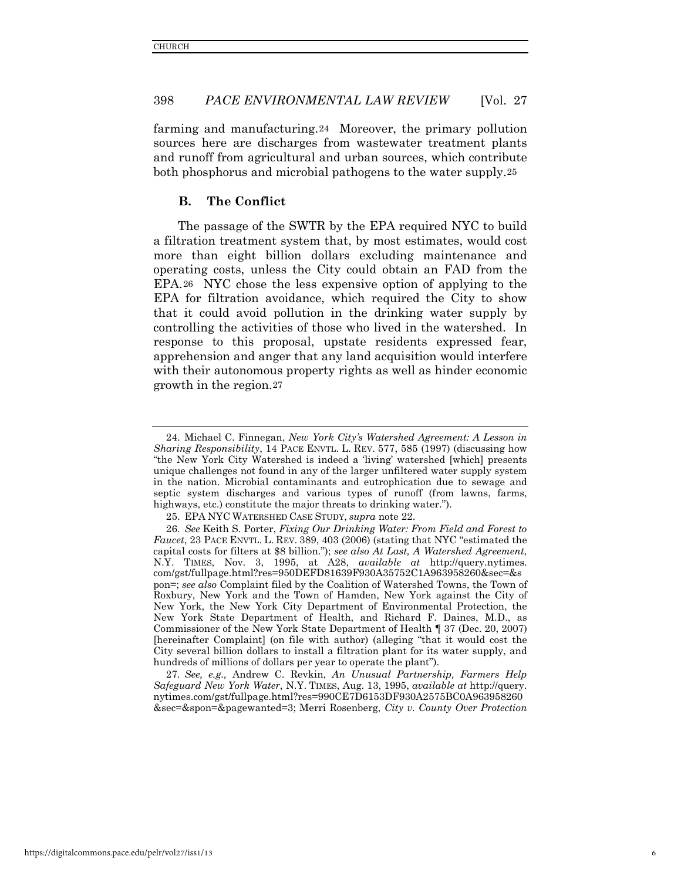farming and manufacturing.[24](#page-6-0) Moreover, the primary pollution sources here are discharges from wastewater treatment plants and runoff from agricultural and urban sources, which contribute both phosphorus and microbial pathogens to the water supply.[25](#page-6-1)

# **B. The Conflict**

The passage of the SWTR by the EPA required NYC to build a filtration treatment system that, by most estimates, would cost more than eight billion dollars excluding maintenance and operating costs, unless the City could obtain an FAD from the EPA.[26](#page-6-2) NYC chose the less expensive option of applying to the EPA for filtration avoidance, which required the City to show that it could avoid pollution in the drinking water supply by controlling the activities of those who lived in the watershed. In response to this proposal, upstate residents expressed fear, apprehension and anger that any land acquisition would interfere with their autonomous property rights as well as hinder economic growth in the region.[27](#page-6-3)

<span id="page-6-3"></span>27*. See, e.g.,* Andrew C. Revkin, *An Unusual Partnership, Farmers Help Safeguard New York Water*, N.Y. TIMES, Aug. 13, 1995, *available at* http://query. nytimes.com/gst/fullpage.html?res=990CE7D6153DF930A2575BC0A963958260 &sec=&spon=&pagewanted=3; Merri Rosenberg, *City v. County Over Protection* 

<span id="page-6-0"></span><sup>24.</sup> Michael C. Finnegan, *New York City's Watershed Agreement: A Lesson in Sharing Responsibility*, 14 PACE ENVTL. L. REV. 577, 585 (1997) (discussing how "the New York City Watershed is indeed a 'living' watershed [which] presents unique challenges not found in any of the larger unfiltered water supply system in the nation. Microbial contaminants and eutrophication due to sewage and septic system discharges and various types of runoff (from lawns, farms, highways, etc.) constitute the major threats to drinking water.").

<sup>25.</sup> EPA NYC WATERSHED CASE STUDY, *supra* note 22.

<span id="page-6-2"></span><span id="page-6-1"></span><sup>26</sup>*. See* Keith S. Porter, *Fixing Our Drinking Water: From Field and Forest to Faucet*, 23 PACE ENVTL. L. REV. 389, 403 (2006) (stating that NYC "estimated the capital costs for filters at \$8 billion."); *see also At Last, A Watershed Agreement*, N.Y. TIMES, Nov. 3, 1995, at A28, *available at* http://query.nytimes. com/gst/fullpage.html?res=950DEFD81639F930A35752C1A963958260&sec=&s pon=; *see also* Complaint filed by the Coalition of Watershed Towns, the Town of Roxbury, New York and the Town of Hamden, New York against the City of New York, the New York City Department of Environmental Protection, the New York State Department of Health, and Richard F. Daines, M.D., as Commissioner of the New York State Department of Health ¶ 37 (Dec. 20, 2007) [hereinafter Complaint] (on file with author) (alleging "that it would cost the City several billion dollars to install a filtration plant for its water supply, and hundreds of millions of dollars per year to operate the plant").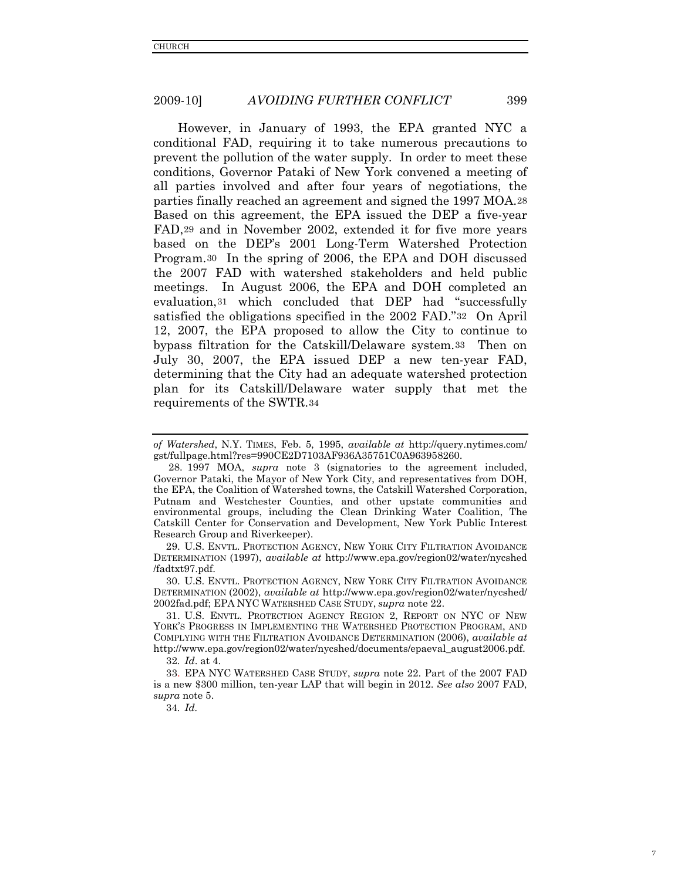However, in January of 1993, the EPA granted NYC a conditional FAD, requiring it to take numerous precautions to prevent the pollution of the water supply. In order to meet these conditions, Governor Pataki of New York convened a meeting of all parties involved and after four years of negotiations, the parties finally reached an agreement and signed the 1997 MOA.[28](#page-7-0) Based on this agreement, the EPA issued the DEP a five-year FAD,[29](#page-7-1) and in November 2002, extended it for five more years based on the DEP's 2001 Long-Term Watershed Protection Program.[30](#page-7-2) In the spring of 2006, the EPA and DOH discussed the 2007 FAD with watershed stakeholders and held public meetings. In August 2006, the EPA and DOH completed an evaluation,[31](#page-7-3) which concluded that DEP had "successfully satisfied the obligations specified in the 2002 FAD."[32](#page-7-4) On April 12, 2007, the EPA proposed to allow the City to continue to bypass filtration for the Catskill/Delaware system.[33](#page-7-5) Then on July 30, 2007, the EPA issued DEP a new ten-year FAD, determining that the City had an adequate watershed protection plan for its Catskill/Delaware water supply that met the requirements of the SWTR.[34](#page-7-6)

<span id="page-7-1"></span>29. U.S. ENVTL. PROTECTION AGENCY, NEW YORK CITY FILTRATION AVOIDANCE DETERMINATION (1997), *available at* http://www.epa.gov/region02/water/nycshed /fadtxt97.pdf.

<span id="page-7-2"></span>30. U.S. ENVTL. PROTECTION AGENCY, NEW YORK CITY FILTRATION AVOIDANCE DETERMINATION (2002), *available at* http://www.epa.gov/region02/water/nycshed/ 2002fad.pdf; EPA NYC WATERSHED CASE STUDY, *supra* note 22.

<span id="page-7-3"></span>31. U.S. ENVTL. PROTECTION AGENCY REGION 2, REPORT ON NYC OF NEW YORK'S PROGRESS IN IMPLEMENTING THE WATERSHED PROTECTION PROGRAM, AND COMPLYING WITH THE FILTRATION AVOIDANCE DETERMINATION (2006), *available at*  http://www.epa.gov/region02/water/nycshed/documents/epaeval\_august2006.pdf.

32*. Id*. at 4.

<span id="page-7-6"></span><span id="page-7-5"></span><span id="page-7-4"></span>33. EPA NYC WATERSHED CASE STUDY, *supra* note 22. Part of the 2007 FAD is a new \$300 million, ten-year LAP that will begin in 2012. *See also* 2007 FAD, *supra* note 5.

34*. Id.*

*of Watershed*, N.Y. TIMES, Feb. 5, 1995, *available at* http://query.nytimes.com/ gst/fullpage.html?res=990CE2D7103AF936A35751C0A963958260.

<span id="page-7-0"></span><sup>28. 1997</sup> MOA, *supra* note 3 (signatories to the agreement included, Governor Pataki, the Mayor of New York City, and representatives from DOH, the EPA, the Coalition of Watershed towns, the Catskill Watershed Corporation, Putnam and Westchester Counties, and other upstate communities and environmental groups, including the Clean Drinking Water Coalition, The Catskill Center for Conservation and Development, New York Public Interest Research Group and Riverkeeper).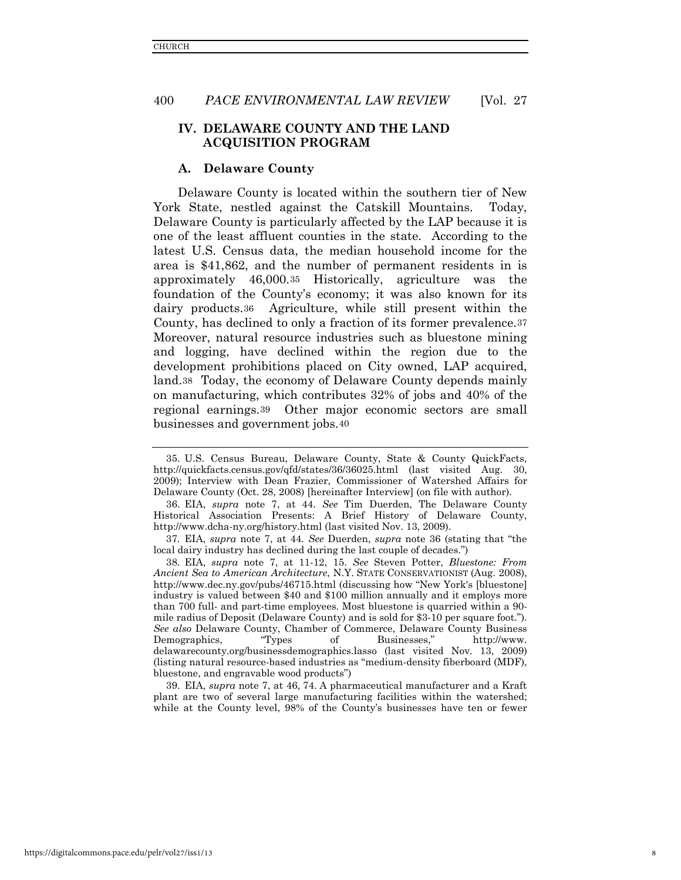# **IV. DELAWARE COUNTY AND THE LAND ACQUISITION PROGRAM**

#### **A. Delaware County**

Delaware County is located within the southern tier of New York State, nestled against the Catskill Mountains. Today, Delaware County is particularly affected by the LAP because it is one of the least affluent counties in the state. According to the latest U.S. Census data, the median household income for the area is \$41,862, and the number of permanent residents in is approximately 46,000.[35](#page-8-0) Historically, agriculture was the foundation of the County's economy; it was also known for its dairy products.[36](#page-8-1) Agriculture, while still present within the County, has declined to only a fraction of its former prevalence.[37](#page-8-2) Moreover, natural resource industries such as bluestone mining and logging, have declined within the region due to the development prohibitions placed on City owned, LAP acquired, land.[38](#page-8-3) Today, the economy of Delaware County depends mainly on manufacturing, which contributes 32% of jobs and 40% of the regional earnings.[39](#page-8-4) Other major economic sectors are small businesses and government jobs.[40](#page-8-5)

<span id="page-8-4"></span>39. EIA, *supra* note 7, at 46, 74. A pharmaceutical manufacturer and a Kraft plant are two of several large manufacturing facilities within the watershed; while at the County level, 98% of the County's businesses have ten or fewer

<span id="page-8-0"></span><sup>35.</sup> U.S. Census Bureau, Delaware County, State & County QuickFacts, http://quickfacts.census.gov/qfd/states/36/36025.html (last visited Aug. 30, 2009); Interview with Dean Frazier, Commissioner of Watershed Affairs for Delaware County (Oct. 28, 2008) [hereinafter Interview] (on file with author).

<span id="page-8-1"></span><sup>36.</sup> EIA, *supra* note 7, at 44. *See* Tim Duerden, The Delaware County Historical Association Presents: A Brief History of Delaware County, http://www.dcha-ny.org/history.html (last visited Nov. 13, 2009).

<span id="page-8-2"></span><sup>37</sup>*.* EIA, *supra* note 7, at 44*. See* Duerden, *supra* note 36 (stating that "the local dairy industry has declined during the last couple of decades.")

<span id="page-8-5"></span><span id="page-8-3"></span><sup>38</sup>*.* EIA, *supra* note 7, at 11-12, 15. *See* Steven Potter, *Bluestone: From Ancient Sea to American Architecture*, N.Y. STATE CONSERVATIONIST (Aug. 2008), http://www.dec.ny.gov/pubs/46715.html (discussing how "New York's [bluestone] industry is valued between \$40 and \$100 million annually and it employs more than 700 full- and part-time employees. Most bluestone is quarried within a 90 mile radius of Deposit (Delaware County) and is sold for \$3-10 per square foot."). *See also* Delaware County, Chamber of Commerce, Delaware County Business Demographics. delawarecounty.org/businessdemographics.lasso (last visited Nov. 13, 2009) (listing natural resource-based industries as "medium-density fiberboard (MDF), bluestone, and engravable wood products")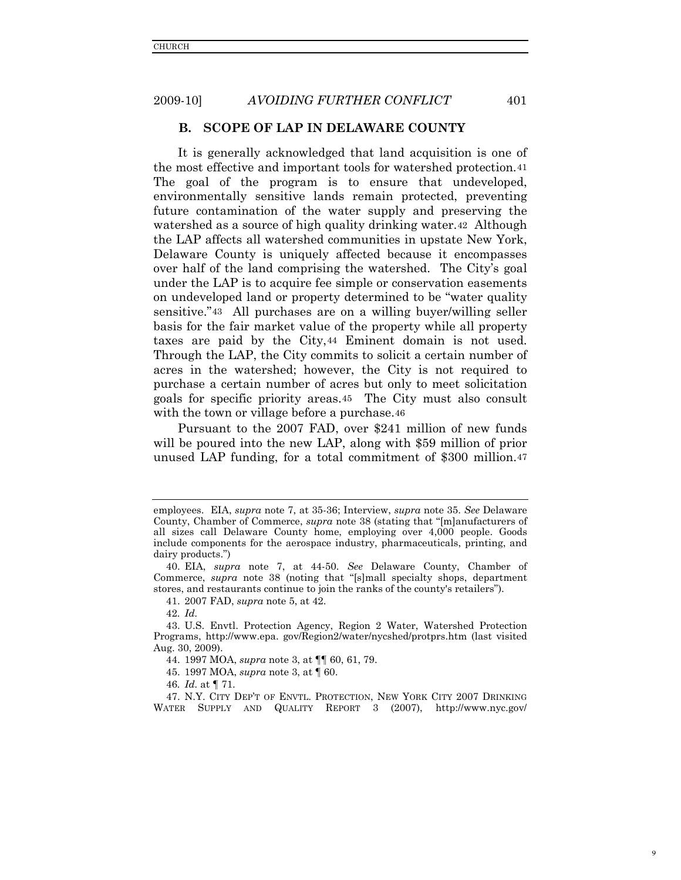# **B. SCOPE OF LAP IN DELAWARE COUNTY**

It is generally acknowledged that land acquisition is one of the most effective and important tools for watershed protection.[41](#page-9-0) The goal of the program is to ensure that undeveloped, environmentally sensitive lands remain protected, preventing future contamination of the water supply and preserving the watershed as a source of high quality drinking water[.42](#page-9-1) Although the LAP affects all watershed communities in upstate New York, Delaware County is uniquely affected because it encompasses over half of the land comprising the watershed. The City's goal under the LAP is to acquire fee simple or conservation easements on undeveloped land or property determined to be "water quality sensitive."[43](#page-9-2) All purchases are on a willing buyer/willing seller basis for the fair market value of the property while all property taxes are paid by the City,[44](#page-9-3) Eminent domain is not used. Through the LAP, the City commits to solicit a certain number of acres in the watershed; however, the City is not required to purchase a certain number of acres but only to meet solicitation goals for specific priority areas.[45](#page-9-4) The City must also consult with the town or village before a purchase.<sup>[46](#page-9-5)</sup>

Pursuant to the 2007 FAD, over \$241 million of new funds will be poured into the new LAP, along with \$59 million of prior unused LAP funding, for a total commitment of \$300 million.[47](#page-9-6)

9

employees. EIA, *supra* note 7, at 35-36; Interview, *supra* note 35. *See* Delaware County, Chamber of Commerce, *supra* note 38 (stating that "[m]anufacturers of all sizes call Delaware County home, employing over 4,000 people. Goods include components for the aerospace industry, pharmaceuticals, printing, and dairy products.")

<sup>40.</sup> EIA, *supra* note 7, at 44-50. *See* Delaware County, Chamber of Commerce, *supra* note 38 (noting that "[s]mall specialty shops, department stores, and restaurants continue to join the ranks of the county's retailers").

<sup>41. 2007</sup> FAD, *supra* note 5, at 42.

<sup>42</sup>*. Id.*

<span id="page-9-3"></span><span id="page-9-2"></span><span id="page-9-1"></span><span id="page-9-0"></span><sup>43.</sup> U.S. Envtl. Protection Agency, Region 2 Water, Watershed Protection Programs, http://www.epa. gov/Region2/water/nycshed/protprs.htm (last visited Aug. 30, 2009).

<sup>44. 1997</sup> MOA, *supra* note 3, at ¶¶ 60, 61, 79.

<sup>45. 1997</sup> MOA, *supra* note 3, at ¶ 60.

<sup>46</sup>*. Id.* at ¶ 71.

<span id="page-9-6"></span><span id="page-9-5"></span><span id="page-9-4"></span><sup>47.</sup> N.Y. CITY DEP'T OF ENVTL. PROTECTION, NEW YORK CITY 2007 DRINKING WATER SUPPLY AND QUALITY REPORT 3 (2007), http://www.nyc.gov/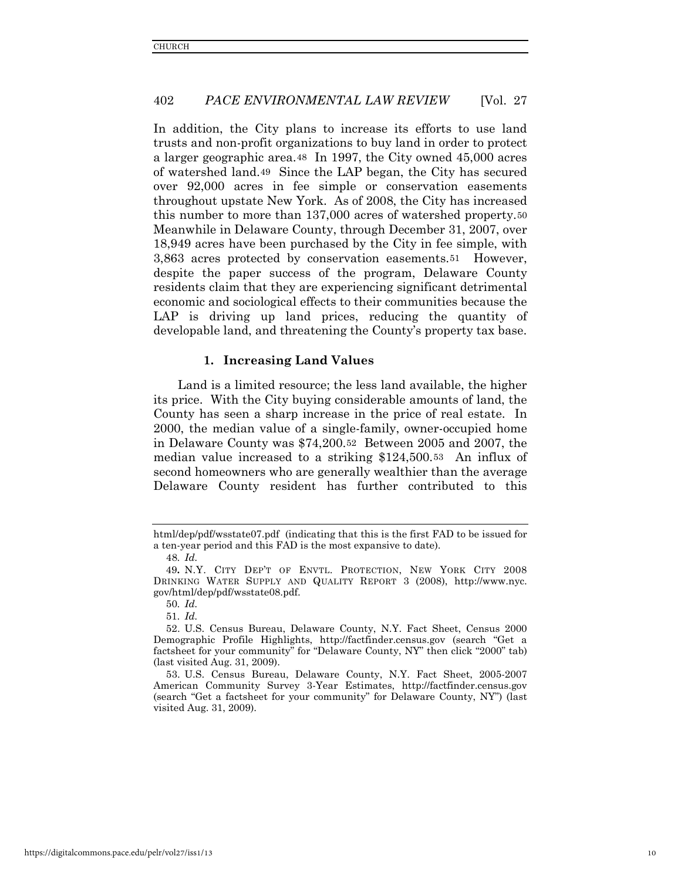In addition, the City plans to increase its efforts to use land trusts and non-profit organizations to buy land in order to protect a larger geographic area.[48](#page-10-0) In 1997, the City owned 45,000 acres of watershed land.[49](#page-10-1) Since the LAP began, the City has secured over 92,000 acres in fee simple or conservation easements throughout upstate New York. As of 2008, the City has increased this number to more than 137,000 acres of watershed property.[50](#page-10-2) Meanwhile in Delaware County, through December 31, 2007, over 18,949 acres have been purchased by the City in fee simple, with 3,863 acres protected by conservation easements.[51](#page-10-3) However, despite the paper success of the program, Delaware County residents claim that they are experiencing significant detrimental economic and sociological effects to their communities because the LAP is driving up land prices, reducing the quantity of developable land, and threatening the County's property tax base.

# **1. Increasing Land Values**

Land is a limited resource; the less land available, the higher its price. With the City buying considerable amounts of land, the County has seen a sharp increase in the price of real estate. In 2000, the median value of a single-family, owner-occupied home in Delaware County was \$74,200.[52](#page-10-4) Between 2005 and 2007, the median value increased to a striking \$124,500.[53](#page-10-5) An influx of second homeowners who are generally wealthier than the average Delaware County resident has further contributed to this

html/dep/pdf/wsstate07.pdf (indicating that this is the first FAD to be issued for a ten-year period and this FAD is the most expansive to date).

<sup>48</sup>*. Id.*

<span id="page-10-1"></span><span id="page-10-0"></span><sup>49</sup>**.** N.Y. CITY DEP'T OF ENVTL. PROTECTION, NEW YORK CITY 2008 DRINKING WATER SUPPLY AND QUALITY REPORT 3 (2008), http://www.nyc. gov/html/dep/pdf/wsstate08.pdf.

<sup>50</sup>*. Id.*

<sup>51</sup>*. Id.*

<span id="page-10-4"></span><span id="page-10-3"></span><span id="page-10-2"></span><sup>52.</sup> U.S. Census Bureau, Delaware County, N.Y. Fact Sheet, Census 2000 Demographic Profile Highlights, http://factfinder.census.gov (search "Get a factsheet for your community" for "Delaware County, NY" then click "2000" tab) (last visited Aug. 31, 2009).

<span id="page-10-5"></span><sup>53.</sup> U.S. Census Bureau, Delaware County, N.Y. Fact Sheet, 2005-2007 American Community Survey 3-Year Estimates, http://factfinder.census.gov (search "Get a factsheet for your community" for Delaware County, NY") (last visited Aug. 31, 2009).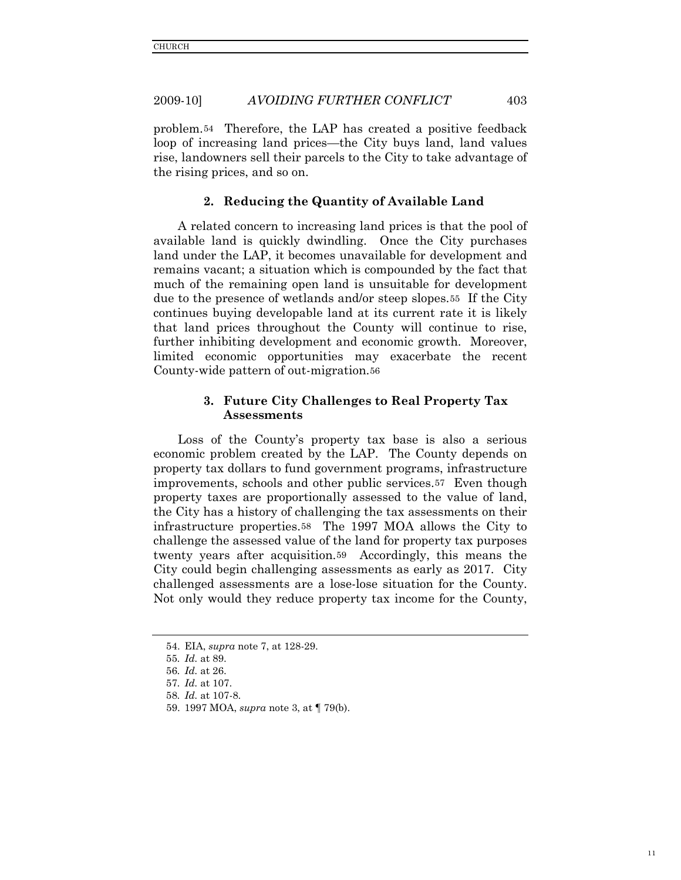problem.[54](#page-11-0) Therefore, the LAP has created a positive feedback loop of increasing land prices—the City buys land, land values rise, landowners sell their parcels to the City to take advantage of the rising prices, and so on.

#### **2. Reducing the Quantity of Available Land**

A related concern to increasing land prices is that the pool of available land is quickly dwindling. Once the City purchases land under the LAP, it becomes unavailable for development and remains vacant; a situation which is compounded by the fact that much of the remaining open land is unsuitable for development due to the presence of wetlands and/or steep slopes.[55](#page-11-1) If the City continues buying developable land at its current rate it is likely that land prices throughout the County will continue to rise, further inhibiting development and economic growth. Moreover, limited economic opportunities may exacerbate the recent County-wide pattern of out-migration.[56](#page-11-2)

# **3. Future City Challenges to Real Property Tax Assessments**

Loss of the County's property tax base is also a serious economic problem created by the LAP. The County depends on property tax dollars to fund government programs, infrastructure improvements, schools and other public services.[57](#page-11-3) Even though property taxes are proportionally assessed to the value of land, the City has a history of challenging the tax assessments on their infrastructure properties.[58](#page-11-4) The 1997 MOA allows the City to challenge the assessed value of the land for property tax purposes twenty years after acquisition.[59](#page-11-5) Accordingly, this means the City could begin challenging assessments as early as 2017. City challenged assessments are a lose-lose situation for the County. Not only would they reduce property tax income for the County,

<span id="page-11-0"></span><sup>54.</sup> EIA, *supra* note 7, at 128-29.

<sup>55</sup>*. Id.* at 89.

<span id="page-11-3"></span><span id="page-11-2"></span><span id="page-11-1"></span><sup>56</sup>*. Id.* at 26.

<sup>57</sup>*. Id.* at 107.

<sup>58</sup>*. Id.* at 107-8.

<span id="page-11-5"></span><span id="page-11-4"></span><sup>59. 1997</sup> MOA, *supra* note 3, at ¶ 79(b).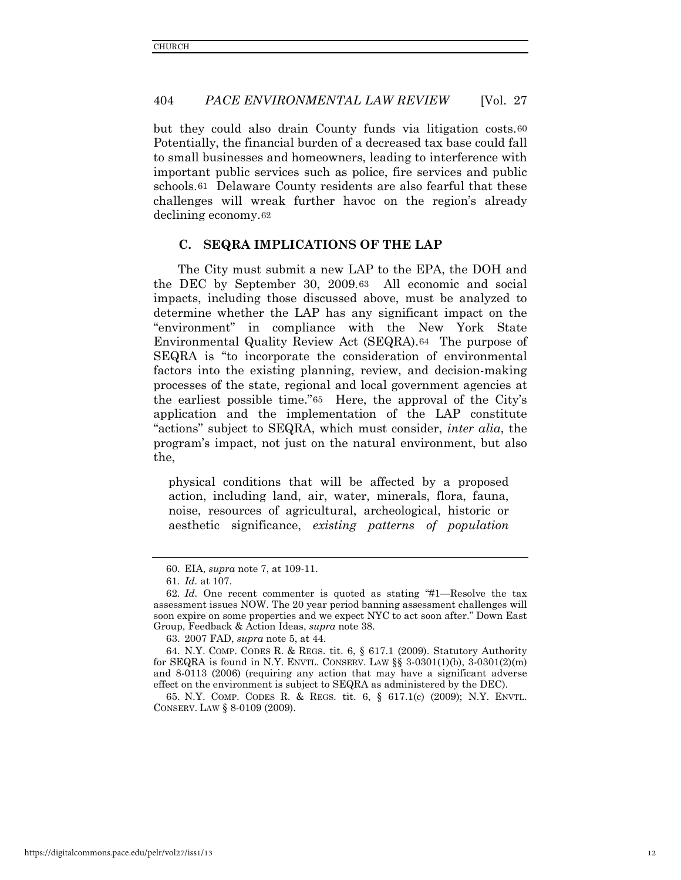but they could also drain County funds via litigation costs.[60](#page-12-0) Potentially, the financial burden of a decreased tax base could fall to small businesses and homeowners, leading to interference with important public services such as police, fire services and public schools.[61](#page-12-1) Delaware County residents are also fearful that these challenges will wreak further havoc on the region's already declining economy.[62](#page-12-2)

## **C. SEQRA IMPLICATIONS OF THE LAP**

The City must submit a new LAP to the EPA, the DOH and the DEC by September 30, 2009.[63](#page-12-3) All economic and social impacts, including those discussed above, must be analyzed to determine whether the LAP has any significant impact on the "environment" in compliance with the New York State Environmental Quality Review Act (SEQRA).[64](#page-12-4) The purpose of SEQRA is "to incorporate the consideration of environmental factors into the existing planning, review, and decision-making processes of the state, regional and local government agencies at the earliest possible time."[65](#page-12-5) Here, the approval of the City's application and the implementation of the LAP constitute "actions" subject to SEQRA, which must consider, *inter alia*, the program's impact, not just on the natural environment, but also the,

physical conditions that will be affected by a proposed action, including land, air, water, minerals, flora, fauna, noise, resources of agricultural, archeological, historic or aesthetic significance, *existing patterns of population* 

63. 2007 FAD, *supra* note 5, at 44.

<span id="page-12-5"></span>65. N.Y. COMP. CODES R. & REGS. tit. 6, § 617.1(c) (2009); N.Y. ENVTL. CONSERV. LAW § 8-0109 (2009).

<sup>60.</sup> EIA, *supra* note 7, at 109-11.

<sup>61</sup>*. Id.* at 107.

<span id="page-12-2"></span><span id="page-12-1"></span><span id="page-12-0"></span><sup>62</sup>*. Id.* One recent commenter is quoted as stating "#1—Resolve the tax assessment issues NOW. The 20 year period banning assessment challenges will soon expire on some properties and we expect NYC to act soon after." Down East Group, Feedback & Action Ideas, *supra* note 38.

<span id="page-12-4"></span><span id="page-12-3"></span><sup>64.</sup> N.Y. COMP. CODES R. & REGS. tit. 6, § 617.1 (2009). Statutory Authority for SEQRA is found in N.Y. ENVTL. CONSERV. LAW  $\S$ § 3-0301(1)(b), 3-0301(2)(m) and 8-0113 (2006) (requiring any action that may have a significant adverse effect on the environment is subject to SEQRA as administered by the DEC).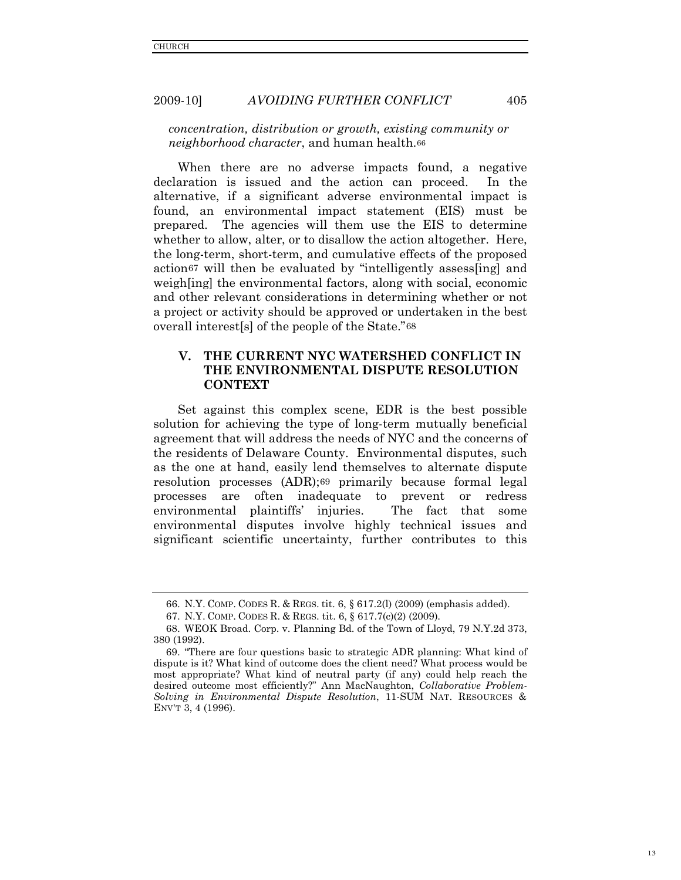*concentration, distribution or growth, existing community or neighborhood character*, and human health.[66](#page-13-0)

When there are no adverse impacts found, a negative declaration is issued and the action can proceed. In the alternative, if a significant adverse environmental impact is found, an environmental impact statement (EIS) must be prepared. The agencies will them use the EIS to determine whether to allow, alter, or to disallow the action altogether. Here, the long-term, short-term, and cumulative effects of the proposed actio[n67](#page-13-1) will then be evaluated by "intelligently assess[ing] and weighting the environmental factors, along with social, economic and other relevant considerations in determining whether or not a project or activity should be approved or undertaken in the best overall interest[s] of the people of the State."[68](#page-13-2)

# **V. THE CURRENT NYC WATERSHED CONFLICT IN THE ENVIRONMENTAL DISPUTE RESOLUTION CONTEXT**

Set against this complex scene, EDR is the best possible solution for achieving the type of long-term mutually beneficial agreement that will address the needs of NYC and the concerns of the residents of Delaware County. Environmental disputes, such as the one at hand, easily lend themselves to alternate dispute resolution processes (ADR);[69](#page-13-3) primarily because formal legal processes are often inadequate to prevent or redress environmental plaintiffs' injuries. The fact that some environmental disputes involve highly technical issues and significant scientific uncertainty, further contributes to this

<sup>66.</sup> N.Y. COMP. CODES R. & REGS. tit. 6, § 617.2(l) (2009) (emphasis added).

<sup>67.</sup> N.Y. COMP. CODES R. & REGS. tit. 6, § 617.7(c)(2) (2009).

<span id="page-13-2"></span><span id="page-13-1"></span><span id="page-13-0"></span><sup>68.</sup> WEOK Broad. Corp. v. Planning Bd. of the Town of Lloyd, 79 N.Y.2d 373, 380 (1992).

<span id="page-13-3"></span><sup>69. &</sup>quot;There are four questions basic to strategic ADR planning: What kind of dispute is it? What kind of outcome does the client need? What process would be most appropriate? What kind of neutral party (if any) could help reach the desired outcome most efficiently?" Ann MacNaughton, *Collaborative Problem-Solving in Environmental Dispute Resolution*, 11-SUM NAT. RESOURCES & ENV'T 3, 4 (1996).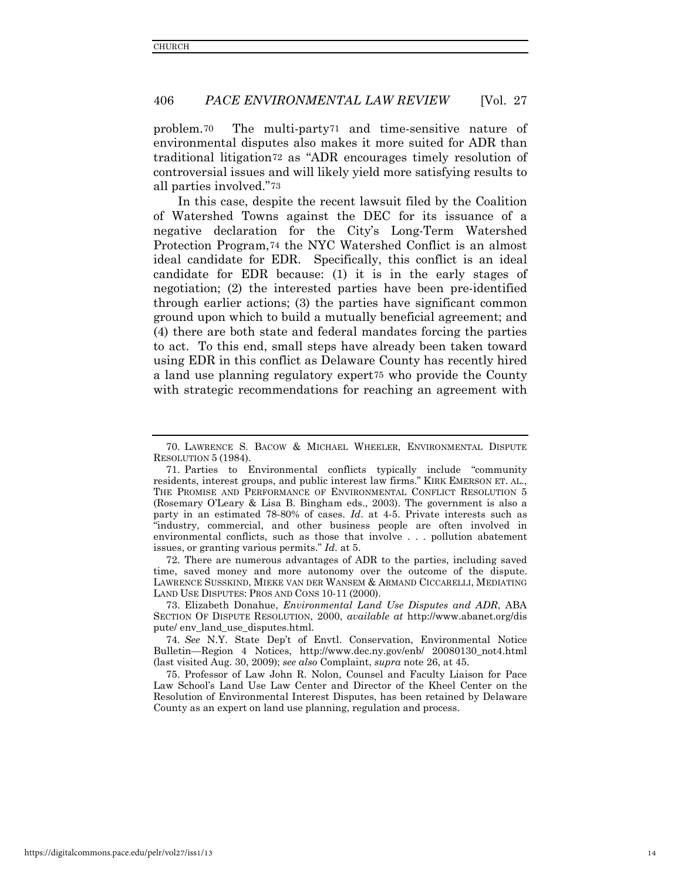problem.[70](#page-14-0) The multi-party[71](#page-14-1) and time-sensitive nature of environmental disputes also makes it more suited for ADR than traditional litigation[72](#page-14-2) as "ADR encourages timely resolution of controversial issues and will likely yield more satisfying results to all parties involved."[73](#page-14-3)

In this case, despite the recent lawsuit filed by the Coalition of Watershed Towns against the DEC for its issuance of a negative declaration for the City's Long-Term Watershed Protection Program,[74](#page-14-4) the NYC Watershed Conflict is an almost ideal candidate for EDR. Specifically, this conflict is an ideal candidate for EDR because: (1) it is in the early stages of negotiation; (2) the interested parties have been pre-identified through earlier actions; (3) the parties have significant common ground upon which to build a mutually beneficial agreement; and (4) there are both state and federal mandates forcing the parties to act. To this end, small steps have already been taken toward using EDR in this conflict as Delaware County has recently hired a land use planning regulatory expert[75](#page-14-5) who provide the County with strategic recommendations for reaching an agreement with

<span id="page-14-2"></span>72. There are numerous advantages of ADR to the parties, including saved time, saved money and more autonomy over the outcome of the dispute. LAWRENCE SUSSKIND, MIEKE VAN DER WANSEM & ARMAND CICCARELLI, MEDIATING LAND USE DISPUTES: PROS AND CONS 10-11 (2000).

<span id="page-14-3"></span>73. Elizabeth Donahue, *Environmental Land Use Disputes and ADR*, ABA SECTION OF DISPUTE RESOLUTION, 2000, *available at* http://www.abanet.org/dis pute/ env\_land\_use\_disputes.html.

<span id="page-14-4"></span>74. *See* N.Y. State Dep't of Envtl. Conservation, Environmental Notice Bulletin—Region 4 Notices, http://www.dec.ny.gov/enb/ 20080130\_not4.html (last visited Aug. 30, 2009); *see also* Complaint, *supra* note 26, at 45.

<span id="page-14-5"></span>75. Professor of Law John R. Nolon, Counsel and Faculty Liaison for Pace Law School's Land Use Law Center and Director of the Kheel Center on the Resolution of Environmental Interest Disputes, has been retained by Delaware County as an expert on land use planning, regulation and process.

<span id="page-14-0"></span><sup>70.</sup> LAWRENCE S. BACOW & MICHAEL WHEELER, ENVIRONMENTAL DISPUTE RESOLUTION 5 (1984).

<span id="page-14-1"></span><sup>71.</sup> Parties to Environmental conflicts typically include "community residents, interest groups, and public interest law firms." KIRK EMERSON ET. AL., THE PROMISE AND PERFORMANCE OF ENVIRONMENTAL CONFLICT RESOLUTION 5 (Rosemary O'Leary & Lisa B. Bingham eds., 2003). The government is also a party in an estimated 78-80% of cases. *Id*. at 4-5. Private interests such as "industry, commercial, and other business people are often involved in environmental conflicts, such as those that involve . . . pollution abatement issues, or granting various permits." *Id*. at 5.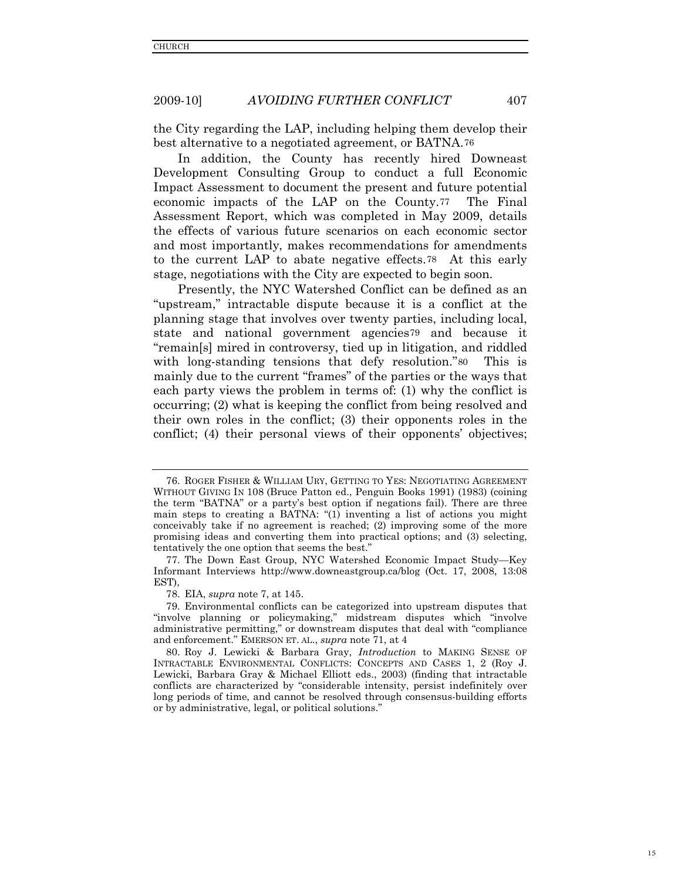the City regarding the LAP, including helping them develop their best alternative to a negotiated agreement, or BATNA.[76](#page-15-0)

In addition, the County has recently hired Downeast Development Consulting Group to conduct a full Economic Impact Assessment to document the present and future potential economic impacts of the LAP on the County.[77](#page-15-1) The Final Assessment Report, which was completed in May 2009, details the effects of various future scenarios on each economic sector and most importantly, makes recommendations for amendments to the current LAP to abate negative effects.[78](#page-15-2) At this early stage, negotiations with the City are expected to begin soon.

Presently, the NYC Watershed Conflict can be defined as an "upstream," intractable dispute because it is a conflict at the planning stage that involves over twenty parties, including local, state and national government agencies [79](#page-15-3) and because it "remain[s] mired in controversy, tied up in litigation, and riddled with long-standing tensions that defy resolution."[80](#page-15-4) This is mainly due to the current "frames" of the parties or the ways that each party views the problem in terms of: (1) why the conflict is occurring; (2) what is keeping the conflict from being resolved and their own roles in the conflict; (3) their opponents roles in the conflict; (4) their personal views of their opponents' objectives;

<span id="page-15-0"></span><sup>76.</sup> ROGER FISHER & WILLIAM URY, GETTING TO YES: NEGOTIATING AGREEMENT WITHOUT GIVING IN 108 (Bruce Patton ed., Penguin Books 1991) (1983) (coining the term "BATNA" or a party's best option if negations fail). There are three main steps to creating a BATNA: "(1) inventing a list of actions you might conceivably take if no agreement is reached; (2) improving some of the more promising ideas and converting them into practical options; and (3) selecting, tentatively the one option that seems the best."

<span id="page-15-1"></span><sup>77.</sup> The Down East Group, NYC Watershed Economic Impact Study—Key Informant Interviews http://www.downeastgroup.ca/blog (Oct. 17, 2008, 13:08 EST),

<sup>78.</sup> EIA, *supra* note 7, at 145.

<span id="page-15-3"></span><span id="page-15-2"></span><sup>79.</sup> Environmental conflicts can be categorized into upstream disputes that "involve planning or policymaking," midstream disputes which "involve administrative permitting," or downstream disputes that deal with "compliance and enforcement." EMERSON ET. AL., *supra* note 71, at 4

<span id="page-15-4"></span><sup>80.</sup> Roy J. Lewicki & Barbara Gray, *Introduction* to MAKING SENSE OF INTRACTABLE ENVIRONMENTAL CONFLICTS: CONCEPTS AND CASES 1, 2 (Roy J. Lewicki, Barbara Gray & Michael Elliott eds., 2003) (finding that intractable conflicts are characterized by "considerable intensity, persist indefinitely over long periods of time, and cannot be resolved through consensus-building efforts or by administrative, legal, or political solutions."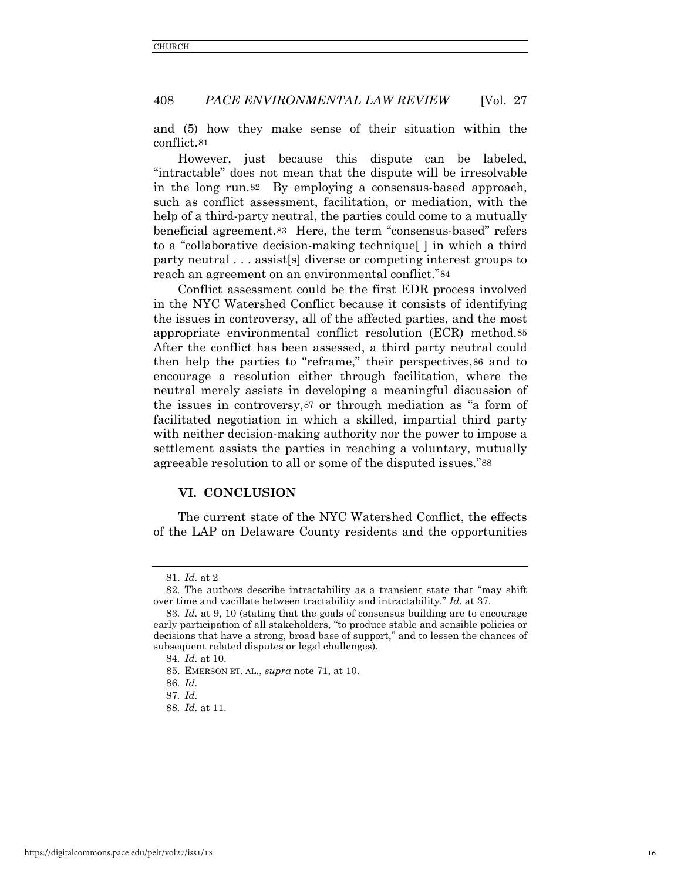and (5) how they make sense of their situation within the conflict[.81](#page-16-0)

However, just because this dispute can be labeled, "intractable" does not mean that the dispute will be irresolvable in the long run.[82](#page-16-1) By employing a consensus-based approach, such as conflict assessment, facilitation, or mediation, with the help of a third-party neutral, the parties could come to a mutually beneficial agreement.[83](#page-16-2) Here, the term "consensus-based" refers to a "collaborative decision-making technique[ ] in which a third party neutral . . . assist[s] diverse or competing interest groups to reach an agreement on an environmental conflict."[84](#page-16-3)

Conflict assessment could be the first EDR process involved in the NYC Watershed Conflict because it consists of identifying the issues in controversy, all of the affected parties, and the most appropriate environmental conflict resolution (ECR) method.[85](#page-16-4) After the conflict has been assessed, a third party neutral could then help the parties to "reframe," their perspectives,[86](#page-16-5) and to encourage a resolution either through facilitation, where the neutral merely assists in developing a meaningful discussion of the issues in controversy,[87](#page-16-6) or through mediation as "a form of facilitated negotiation in which a skilled, impartial third party with neither decision-making authority nor the power to impose a settlement assists the parties in reaching a voluntary, mutually agreeable resolution to all or some of the disputed issues."[88](#page-16-7)

## **VI. CONCLUSION**

The current state of the NYC Watershed Conflict, the effects of the LAP on Delaware County residents and the opportunities

<sup>81.</sup> *Id.* at 2

<span id="page-16-1"></span><span id="page-16-0"></span><sup>82</sup>*.* The authors describe intractability as a transient state that "may shift over time and vacillate between tractability and intractability." *Id.* at 37.

<span id="page-16-3"></span><span id="page-16-2"></span><sup>83</sup>*. Id.* at 9, 10 (stating that the goals of consensus building are to encourage early participation of all stakeholders, "to produce stable and sensible policies or decisions that have a strong, broad base of support," and to lessen the chances of subsequent related disputes or legal challenges).

<sup>84</sup>*. Id.* at 10.

<span id="page-16-4"></span><sup>85.</sup> EMERSON ET. AL., *supra* note 71, at 10.

<span id="page-16-7"></span><span id="page-16-6"></span><span id="page-16-5"></span><sup>86</sup>*. Id.*

<sup>87</sup>*. Id.*

<sup>88</sup>*. Id.* at 11.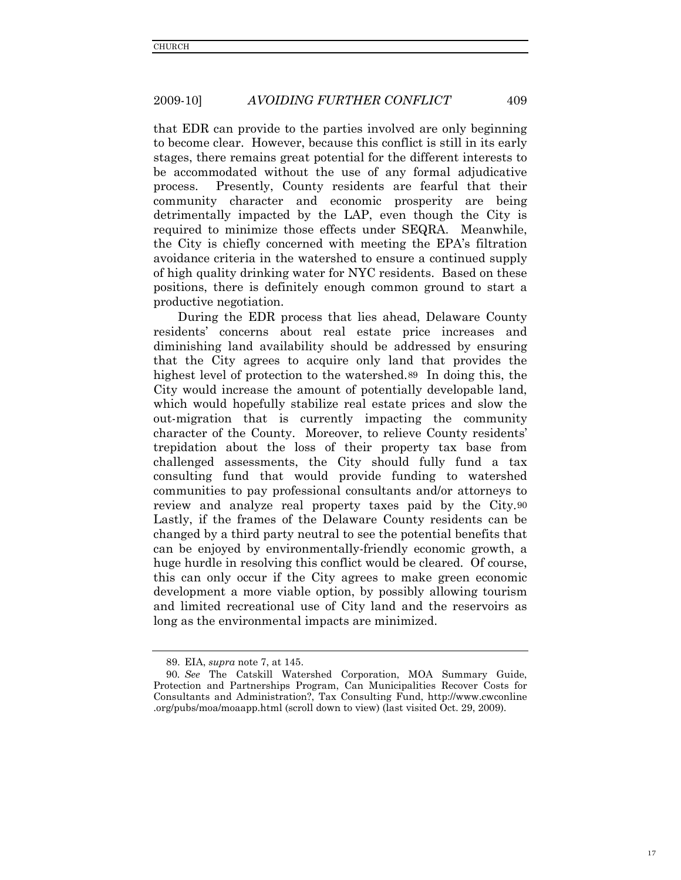that EDR can provide to the parties involved are only beginning to become clear. However, because this conflict is still in its early stages, there remains great potential for the different interests to be accommodated without the use of any formal adjudicative process. Presently, County residents are fearful that their community character and economic prosperity are being detrimentally impacted by the LAP, even though the City is required to minimize those effects under SEQRA. Meanwhile, the City is chiefly concerned with meeting the EPA's filtration avoidance criteria in the watershed to ensure a continued supply of high quality drinking water for NYC residents. Based on these positions, there is definitely enough common ground to start a productive negotiation.

During the EDR process that lies ahead, Delaware County residents' concerns about real estate price increases and diminishing land availability should be addressed by ensuring that the City agrees to acquire only land that provides the highest level of protection to the watershed.[89](#page-17-0) In doing this, the City would increase the amount of potentially developable land, which would hopefully stabilize real estate prices and slow the out-migration that is currently impacting the community character of the County. Moreover, to relieve County residents' trepidation about the loss of their property tax base from challenged assessments, the City should fully fund a tax consulting fund that would provide funding to watershed communities to pay professional consultants and/or attorneys to review and analyze real property taxes paid by the City.[90](#page-17-1) Lastly, if the frames of the Delaware County residents can be changed by a third party neutral to see the potential benefits that can be enjoyed by environmentally-friendly economic growth, a huge hurdle in resolving this conflict would be cleared. Of course, this can only occur if the City agrees to make green economic development a more viable option, by possibly allowing tourism and limited recreational use of City land and the reservoirs as long as the environmental impacts are minimized.

<sup>89.</sup> EIA, *supra* note 7, at 145.

<span id="page-17-1"></span><span id="page-17-0"></span><sup>90</sup>*. See* The Catskill Watershed Corporation, MOA Summary Guide, Protection and Partnerships Program, Can Municipalities Recover Costs for Consultants and Administration?, Tax Consulting Fund, http://www.cwconline .org/pubs/moa/moaapp.html (scroll down to view) (last visited Oct. 29, 2009).